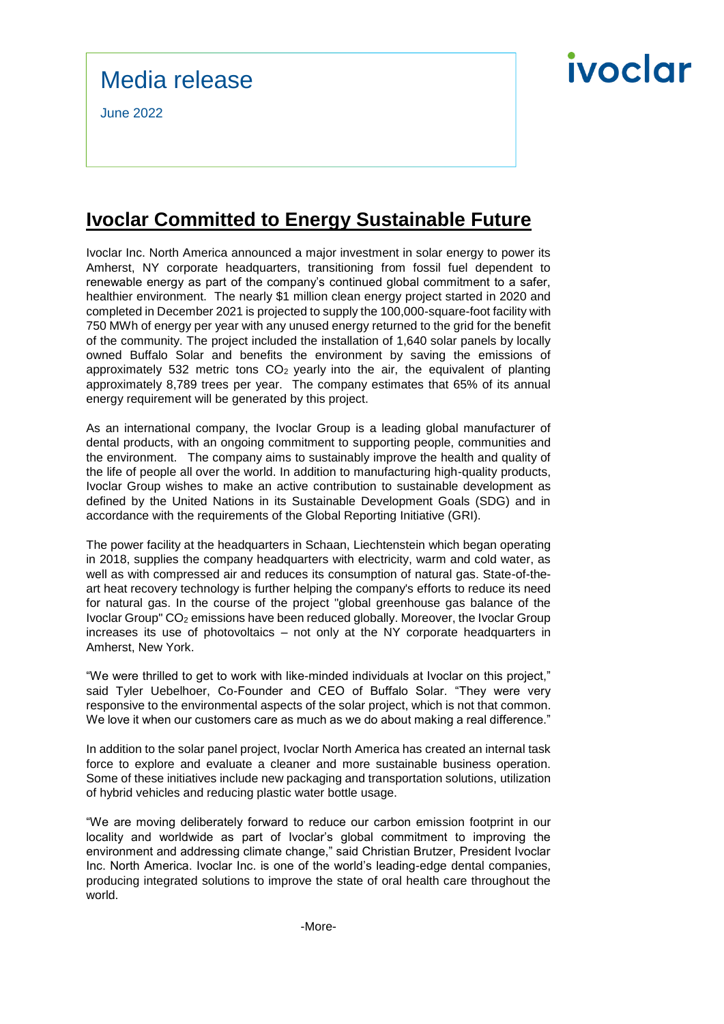### Media release

June 2022

## ivoclar

### **Ivoclar Committed to Energy Sustainable Future**

Ivoclar Inc. North America announced a major investment in solar energy to power its Amherst, NY corporate headquarters, transitioning from fossil fuel dependent to renewable energy as part of the company's continued global commitment to a safer, healthier environment. The nearly \$1 million clean energy project started in 2020 and completed in December 2021 is projected to supply the 100,000-square-foot facility with 750 MWh of energy per year with any unused energy returned to the grid for the benefit of the community. The project included the installation of 1,640 solar panels by locally owned Buffalo Solar and benefits the environment by saving the emissions of approximately 532 metric tons  $CO<sub>2</sub>$  yearly into the air, the equivalent of planting approximately 8,789 trees per year. The company estimates that 65% of its annual energy requirement will be generated by this project.

As an international company, the Ivoclar Group is a leading global manufacturer of dental products, with an ongoing commitment to supporting people, communities and the environment. The company aims to sustainably improve the health and quality of the life of people all over the world. In addition to manufacturing high-quality products, Ivoclar Group wishes to make an active contribution to sustainable development as defined by the United Nations in its Sustainable Development Goals (SDG) and in accordance with the requirements of the Global Reporting Initiative (GRI).

The power facility at the headquarters in Schaan, Liechtenstein which began operating in 2018, supplies the company headquarters with electricity, warm and cold water, as well as with compressed air and reduces its consumption of natural gas. State-of-theart heat recovery technology is further helping the company's efforts to reduce its need for natural gas. In the course of the project "global greenhouse gas balance of the Ivoclar Group" CO<sup>2</sup> emissions have been reduced globally. Moreover, the Ivoclar Group increases its use of photovoltaics – not only at the NY corporate headquarters in Amherst, New York.

"We were thrilled to get to work with like-minded individuals at Ivoclar on this project," said Tyler Uebelhoer, Co-Founder and CEO of Buffalo Solar. "They were very responsive to the environmental aspects of the solar project, which is not that common. We love it when our customers care as much as we do about making a real difference."

In addition to the solar panel project, Ivoclar North America has created an internal task force to explore and evaluate a cleaner and more sustainable business operation. Some of these initiatives include new packaging and transportation solutions, utilization of hybrid vehicles and reducing plastic water bottle usage.

"We are moving deliberately forward to reduce our carbon emission footprint in our locality and worldwide as part of Ivoclar's global commitment to improving the environment and addressing climate change," said Christian Brutzer, President Ivoclar Inc. North America. Ivoclar Inc. is one of the world's leading-edge dental companies, producing integrated solutions to improve the state of oral health care throughout the world.